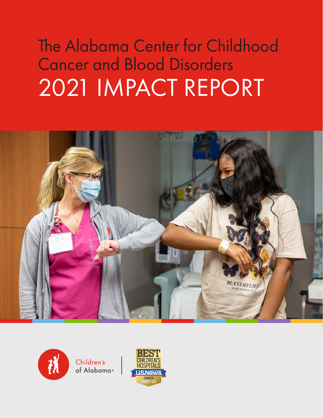# The Alabama Center for Childhood Cancer and Blood Disorders 2021 IMPACT REPORT





Children's of Alabama®

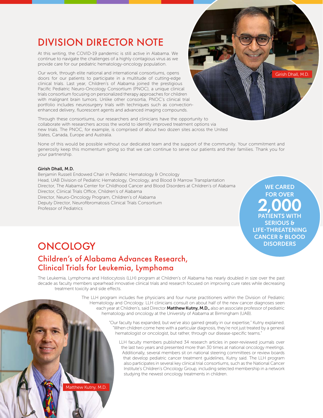### DIVISION DIRECTOR NOTE

At this writing, the COVID-19 pandemic is still active in Alabama. We continue to navigate the challenges of a highly contagious virus as we provide care for our pediatric hematology-oncology population.

Our work, through elite national and international consortiums, opens doors for our patients to participate in a multitude of cutting-edge clinical trials. Last year, Children's of Alabama joined the prestigious Pacific Pediatric Neuro-Oncology Consortium (PNOC), a unique clinical trials consortium focusing on personalized therapy approaches for children with malignant brain tumors. Unlike other consortia, PNOC's clinical trial portfolio includes neurosurgery trials with techniques such as convectionenhanced delivery, fluorescent agents and advanced imaging compounds.

Through these consortiums, our researchers and clinicians have the opportunity to collaborate with researchers across the world to identify improved treatment options via new trials. The PNOC, for example, is comprised of about two dozen sites across the United States, Canada, Europe and Australia.

None of this would be possible without our dedicated team and the support of the community. Your commitment and generosity keep this momentum going so that we can continue to serve our patients and their families. Thank you for your partnership.

#### Girish Dhall, M.D.

Benjamin Russell Endowed Chair in Pediatric Hematology & Oncology Head, UAB Division of Pediatric Hematology, Oncology, and Blood & Marrow Transplantation Director, The Alabama Center for Childhood Cancer and Blood Disorders at Children's of Alabama Director, Clinical Trials Office, Children's of Alabama Director, Neuro-Oncology Program, Children's of Alabama Deputy Director, Neurofibromatosis Clinical Trials Consortium Professor of Pediatrics

WE CARED FOR OVER 2,000 PATIENTS WITH SERIOUS & LIFE-THREATENING CANCER & BLOOD **DISORDERS** 

Girish Dhall, M.D.

### **ONCOLOGY**

### Children's of Alabama Advances Research, Clinical Trials for Leukemia, Lymphoma

The Leukemia, Lymphoma and Histiocytosis (LLH) program at Children's of Alabama has nearly doubled in size over the past decade as faculty members spearhead innovative clinical trials and research focused on improving cure rates while decreasing treatment toxicity and side effects.

> The LLH program includes five physicians and four nurse practitioners within the Division of Pediatric Hematology and Oncology. LLH clinicians consult on about half of the new cancer diagnoses seen each year at Children's, said Director Matthew Kutny, M.D., also an associate professor of pediatric hematology and oncology at the University of Alabama at Birmingham (UAB).

> > "Our faculty has expanded, but we've also gained greatly in our expertise," Kutny explained. "When children come here with a particular diagnosis, they're not just treated by a general hematologist or oncologist, but rather, through our disease-specific teams."

LLH faculty members published 34 research articles in peer-reviewed journals over the last two years and presented more than 30 times at national oncology meetings. Additionally, several members sit on national steering committees or review boards that develop pediatric cancer treatment guidelines, Kutny said. The LLH program also participates in several key clinical trial consortiums, such as the National Cancer Institute's Children's Oncology Group, including selected membership in a network studying the newest oncology treatments in children.

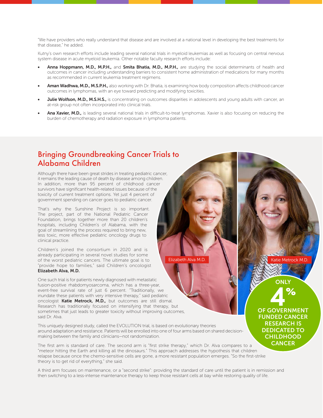"We have providers who really understand that disease and are involved at a national level in developing the best treatments for that disease," he added.

Kutny's own research efforts include leading several national trials in myeloid leukemias as well as focusing on central nervous system disease in acute myeloid leukemia. Other notable faculty research efforts include:

- Anna Hoppmann, M.D., M.P.H., and Smita Bhatia, M.D., M.P.H., are studying the social determinants of health and outcomes in cancer including understanding barriers to consistent home administration of medications for many months as recommended in current leukemia treatment regimens.
- Aman Wadhwa, M.D., M.S.P.H., also working with Dr. Bhatia, is examining how body composition affects childhood cancer outcomes in lymphomas, with an eye toward predicting and modifying toxicities.
- Julie Wolfson, M.D., M.S.H.S., is concentrating on outcomes disparities in adolescents and young adults with cancer, an at-risk group not often incorporated into clinical trials.
- Ana Xavier, M.D., is leading several national trials in difficult-to-treat lymphomas. Xavier is also focusing on reducing the burden of chemotherapy and radiation exposure in lymphoma patients.

#### Bringing Groundbreaking Cancer Trials to Alabama Children

Although there have been great strides in treating pediatric cancer, it remains the leading cause of death by disease among children. In addition, more than 95 percent of childhood cancer survivors have significant health-related issues because of the toxicity of current treatment options. Yet just 4 percent of government spending on cancer goes to pediatric cancer.

That's why the Sunshine Project is so important. The project, part of the National Pediatric Cancer Foundation, brings together more than 20 children's hospitals, including Children's of Alabama, with the goal of streamlining the process required to bring new, less toxic, more effective pediatric oncology drugs to clinical practice.

Children's joined the consortium in 2020 and is already participating in several novel studies for some of the worst pediatric cancers. The ultimate goal is to "provide hope to families," said Children's oncologist Elizabeth Alva, M.D.

One such trial is for patients newly diagnosed with metastatic fusion-positive rhabdomyosarcoma, which has a three-year, event-free survival rate of just 6 percent. "Traditionally, we inundate these patients with very intensive therapy," said pediatric oncologist Katie Metrock, M.D., but outcomes are still dismal. Research has traditionally focused on intensifying that therapy, but sometimes that just leads to greater toxicity without improving outcomes, said Dr. Alva.

This uniquely designed study, called the EVOLUTION trial, is based on evolutionary theories around adaptation and resistance. Patients will be enrolled into one of four arms based on shared decisionmaking between the family and clinicians—not randomization.

The first arm is standard of care. The second arm is "first strike therapy," which Dr. Alva compares to a "meteor hitting the Earth and killing all the dinosaurs." This approach addresses the hypothesis that children relapse because once the chemo-sensitive cells are gone, a more resistant population emerges. "So the first-strike theory is to get rid of everything," she said.

A third arm focuses on maintenance, or a "second strike": providing the standard of care until the patient is in remission and then switching to a less-intense maintenance therapy to keep those resistant cells at bay while restoring quality of life.

Elizabeth Alva M.D. Katie Metrock M.D.

ONLY

4% OF GOVERNMENT FUNDED CANCER RESEARCH IS DEDICATED TO **CHILDHOOD CANCER**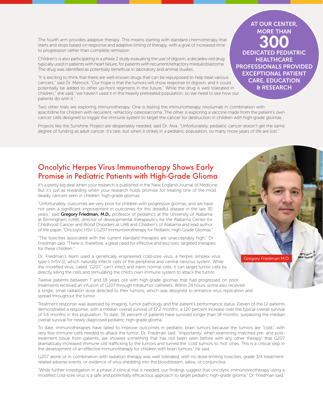The fourth arm provides adaptive therapy. This means starting with standard chemotherapy that starts and stops based on response and adaptive timing of therapy, with a goal of increased time to progression rather than complete remission.

Children's is also participating in a phase 2 study evaluating the use of digoxin, a decades-old drug typically used in patients with heart failure, for patients with recurrent/refractory medulloblastoma. The drug was identified as potentially beneficial in laboratory and animal studies.

"It is exciting to think that there are well-known drugs that can be repurposed to help treat various cancers," said Dr. Metrock. "Our hope is that the tumors will show response to digoxin, and it could potentially be added to other up-front regimens in the future." While the drug is well tolerated in children," she said, "we haven't used it in this heavily pretreated population, so we need to see how our patients do with it."

Two other trials are exploring immunotherapy. One is testing the immunotherapy nivolumab in combination with azacitidine for children with recurrent, refractory osteosarcoma. The other is exploring a vaccine made from the patient's own cancer cells designed to trigger the immune system to target the cancer for destruction in children with high-grade gliomas.

Projects like the Sunshine Project are desperately needed, said Dr. Alva. "Unfortunately, pediatric cancer doesn't get the same degree of funding as adult cancer. It's rare, but when it strikes in a pediatric population, so many more years of life are lost."

### Oncolytic Herpes Virus Immunotherapy Shows Early Promise in Pediatric Patients with High-Grade Glioma

It's a pretty big deal when your research is published in the New England Journal of Medicine. But it's just as rewarding when your research holds promise for treating one of the most deadly cancers seen in children: high-grade gliomas.

"Unfortunately, outcomes are very poor for children with progressive gliomas, and we have not seen a significant improvement in outcomes for this dreadful disease in the last 30 years," said Gregory Friedman, M.D., professor of pediatrics at the University of Alabama at Birmingham (UAB), director of developmental therapeutics for the Alabama Center for Childhood Cancer and Blood Disorders at UAB and Children's of Alabama and lead author of the paper, "Oncolytic HSV-1 G207 Immunovirotherapy for Pediatric High-Grade Gliomas."

"The toxicities associated with the current standard therapies are unacceptably high," Dr. Friedman said. "There is, therefore, a great need for effective and less toxic targeted therapies for these children."

Dr. Friedman's team used a genetically engineered cold-sore virus, a herpes simplex virus type-1 (HSV-1), which naturally infects cells of the peripheral and central nervous system. While the modified virus, called "G207," can't infect and harm normal cells, it can target tumor cells by directly killing the cells and stimulating the child's own immune system to attack the tumor.

Twelve patients between 7 and 18 years old with high-grade gliomas that had progressed on prior treatments received an infusion of G207 through intratumor catheters. Within 24 hours, some also received a single, small radiation dose directed to their tumors, which was designed to enhance virus replication and spread throughout the tumor.

Treatment response was assessed by imaging, tumor pathology and the patient's performance status. Eleven of the 12 patients demonstrated a response, with a median overall survival of 12.2 months; a 120 percent increase over the typical overall survival of 5.6 months in this population. To date, 36 percent of patients have survived longer than 18 months, surpassing the median overall survival for newly diagnosed pediatric high-grade glioma.

To date, immunotherapies have failed to improve outcomes in pediatric brain tumors because the tumors are "cold," with very few immune cells needed to attack the tumor, Dr. Friedman said. "Importantly, when examining matched pre- and posttreatment tissue from patients, we showed something that has not been seen before with any other therapy: that G207 dramatically increased immune cell trafficking to the tumors and turned the 'cold' tumors to 'hot' ones. This is a critical step in the development of an effective immunotherapy for children with brain tumors," he said.

G207 alone or in combination with radiation therapy was well tolerated, with no dose-limiting toxicities, grade 3/4 treatmentrelated adverse events, or evidence of virus shedding into the bloodstream, saliva, or conjunctiva.

"While further investigation in a phase 2 clinical trial is needed, our findings suggest that oncolytic immunovirotherapy using a modified cold-sore virus is a safe and potentially efficacious approach to target pediatric high-grade glioma," Dr. Friedman said.

MORE THAN 300 DEDICATED PEDIATRIC **HEALTHCARE** PROFESSIONALS PROVIDED EXCEPTIONAL PATIENT CARE, EDUCATION & RESEARCH

AT OUR CENTER,

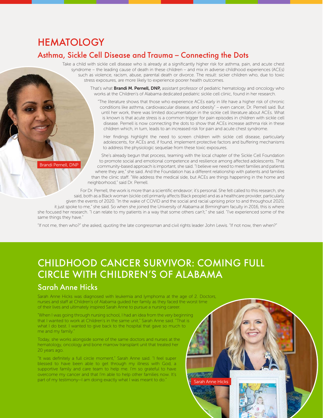### **HEMATOLOGY**

#### Asthma, Sickle Cell Disease and Trauma – Connecting the Dots

Take a child with sickle cell disease who is already at a significantly higher risk for asthma, pain, and acute chest syndrome – the leading cause of death in these children – and mix in adverse childhood experiences (ACEs) such as violence, racism, abuse, parental death or divorce. The result: sicker children who, due to toxic stress exposures, are more likely to experience poorer health outcomes.

> That's what **Brandi M. Pernell, DNP,** assistant professor of pediatric hematology and oncology who works at the Children's of Alabama dedicated pediatric sickle cell clinic, found in her research.

"The literature shows that those who experience ACEs early in life have a higher risk of chronic conditions like asthma, cardiovascular disease, and obesity" – even cancer, Dr. Pernell said. But until her work, there was limited documentation in the sickle cell literature about ACEs. What is known is that acute stress is a common trigger for pain episodes in children with sickle cell disease. Pernell is now connecting the dots to show that ACEs increase asthma risk in these children which, in turn, leads to an increased risk for pain and acute chest syndrome.

Her findings highlight the need to screen children with sickle cell disease, particularly adolescents, for ACEs and, if found, implement protective factors and buffering mechanisms to address the physiologic sequelae from these toxic exposures.

She's already begun that process, teaming with the local chapter of the Sickle Cell Foundation to promote social and emotional competence and resilience among affected adolescents. That community-based approach is important, she said. "I believe we need to meet families and patients where they are," she said. And the Foundation has a different relationship with patients and families than the clinic staff. "We address the medical side, but ACEs are things happening in the home and neighborhood," said Dr. Pernell.

For Dr. Pernell, the work is more than a scientific endeavor; it's personal. She felt called to this research, she said, both as a Black woman (sickle cell primarily affects Black people) and as a healthcare provider, particularly given the events of 2020. "In the wake of COVID and the social and racial uprising prior to and throughout 2020, it just spoke to me," she said. So when she joined the University of Alabama at Birmingham faculty in 2016, this is where

she focused her research. "I can relate to my patients in a way that some others can't," she said. "I've experienced some of the same things they have."

"If not me, then who?" she asked, quoting the late congressman and civil rights leader John Lewis. "If not now, then when?"

### CHILDHOOD CANCER SURVIVOR: COMING FULL CIRCLE WITH CHILDREN'S OF ALABAMA

### Sarah Anne Hicks

Sarah Anne Hicks was diagnosed with leukemia and lymphoma at the age of 2. Doctors, nurses and staff at Children's of Alabama guided her family as they faced the worst time of their lives and ultimately inspired Sarah Anne to pursue a nursing career.

"When I was going through nursing school, I had an idea from the very beginning that I wanted to work at Children's in the same unit," Sarah Anne said. "That is what I do best. I wanted to give back to the hospital that gave so much to me and my family."

Today, she works alongside some of the same doctors and nurses at the hematology, oncology and bone marrow transplant unit that treated her 20 years ago.

"It was definitely a full circle moment," Sarah Anne said. "I feel super blessed to have been able to get through my illness with God, a supportive family and care team to help me. I'm so grateful to have overcome my cancer and that I'm able to help other families now. It's part of my testimony—I am doing exactly what I was meant to do." Sarah Anne Hicks

Brandi Pernell, DNP